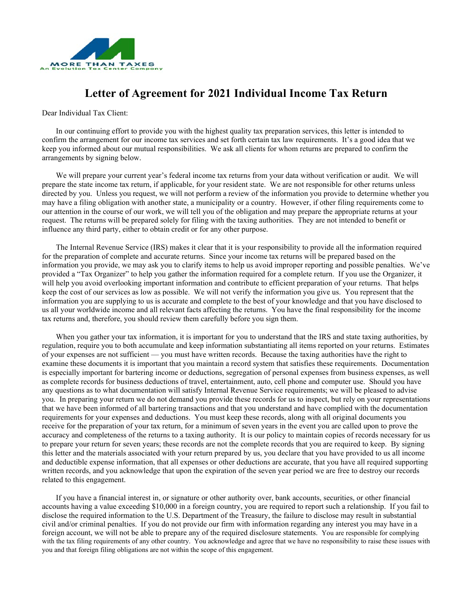

## **Letter of Agreement for 2021 Individual Income Tax Return**

Dear Individual Tax Client:

In our continuing effort to provide you with the highest quality tax preparation services, this letter is intended to confirm the arrangement for our income tax services and set forth certain tax law requirements. It's a good idea that we keep you informed about our mutual responsibilities. We ask all clients for whom returns are prepared to confirm the arrangements by signing below.

We will prepare your current year's federal income tax returns from your data without verification or audit. We will prepare the state income tax return, if applicable, for your resident state. We are not responsible for other returns unless directed by you. Unless you request, we will not perform a review of the information you provide to determine whether you may have a filing obligation with another state, a municipality or a country. However, if other filing requirements come to our attention in the course of our work, we will tell you of the obligation and may prepare the appropriate returns at your request. The returns will be prepared solely for filing with the taxing authorities. They are not intended to benefit or influence any third party, either to obtain credit or for any other purpose.

The Internal Revenue Service (IRS) makes it clear that it is your responsibility to provide all the information required for the preparation of complete and accurate returns. Since your income tax returns will be prepared based on the information you provide, we may ask you to clarify items to help us avoid improper reporting and possible penalties. We've provided a "Tax Organizer" to help you gather the information required for a complete return. If you use the Organizer, it will help you avoid overlooking important information and contribute to efficient preparation of your returns. That helps keep the cost of our services as low as possible. We will not verify the information you give us. You represent that the information you are supplying to us is accurate and complete to the best of your knowledge and that you have disclosed to us all your worldwide income and all relevant facts affecting the returns. You have the final responsibility for the income tax returns and, therefore, you should review them carefully before you sign them.

When you gather your tax information, it is important for you to understand that the IRS and state taxing authorities, by regulation, require you to both accumulate and keep information substantiating all items reported on your returns. Estimates of your expenses are not sufficient — you must have written records. Because the taxing authorities have the right to examine these documents it is important that you maintain a record system that satisfies these requirements. Documentation is especially important for bartering income or deductions, segregation of personal expenses from business expenses, as well as complete records for business deductions of travel, entertainment, auto, cell phone and computer use. Should you have any questions as to what documentation will satisfy Internal Revenue Service requirements; we will be pleased to advise you. In preparing your return we do not demand you provide these records for us to inspect, but rely on your representations that we have been informed of all bartering transactions and that you understand and have complied with the documentation requirements for your expenses and deductions. You must keep these records, along with all original documents you receive for the preparation of your tax return, for a minimum of seven years in the event you are called upon to prove the accuracy and completeness of the returns to a taxing authority. It is our policy to maintain copies of records necessary for us to prepare your return for seven years; these records are not the complete records that you are required to keep. By signing this letter and the materials associated with your return prepared by us, you declare that you have provided to us all income and deductible expense information, that all expenses or other deductions are accurate, that you have all required supporting written records, and you acknowledge that upon the expiration of the seven year period we are free to destroy our records related to this engagement.

If you have a financial interest in, or signature or other authority over, bank accounts, securities, or other financial accounts having a value exceeding \$10,000 in a foreign country, you are required to report such a relationship. If you fail to disclose the required information to the U.S. Department of the Treasury, the failure to disclose may result in substantial civil and/or criminal penalties. If you do not provide our firm with information regarding any interest you may have in a foreign account, we will not be able to prepare any of the required disclosure statements. You are responsible for complying with the tax filing requirements of any other country. You acknowledge and agree that we have no responsibility to raise these issues with you and that foreign filing obligations are not within the scope of this engagement.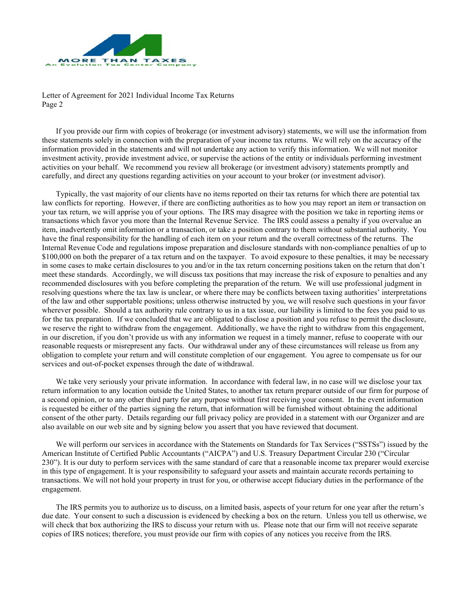

Letter of Agreement for 2021 Individual Income Tax Returns Page 2

If you provide our firm with copies of brokerage (or investment advisory) statements, we will use the information from these statements solely in connection with the preparation of your income tax returns. We will rely on the accuracy of the information provided in the statements and will not undertake any action to verify this information. We will not monitor investment activity, provide investment advice, or supervise the actions of the entity or individuals performing investment activities on your behalf. We recommend you review all brokerage (or investment advisory) statements promptly and carefully, and direct any questions regarding activities on your account to your broker (or investment advisor).

Typically, the vast majority of our clients have no items reported on their tax returns for which there are potential tax law conflicts for reporting. However, if there are conflicting authorities as to how you may report an item or transaction on your tax return, we will apprise you of your options. The IRS may disagree with the position we take in reporting items or transactions which favor you more than the Internal Revenue Service. The IRS could assess a penalty if you overvalue an item, inadvertently omit information or a transaction, or take a position contrary to them without substantial authority. You have the final responsibility for the handling of each item on your return and the overall correctness of the returns. The Internal Revenue Code and regulations impose preparation and disclosure standards with non-compliance penalties of up to \$100,000 on both the preparer of a tax return and on the taxpayer. To avoid exposure to these penalties, it may be necessary in some cases to make certain disclosures to you and/or in the tax return concerning positions taken on the return that don't meet these standards. Accordingly, we will discuss tax positions that may increase the risk of exposure to penalties and any recommended disclosures with you before completing the preparation of the return. We will use professional judgment in resolving questions where the tax law is unclear, or where there may be conflicts between taxing authorities' interpretations of the law and other supportable positions; unless otherwise instructed by you, we will resolve such questions in your favor wherever possible. Should a tax authority rule contrary to us in a tax issue, our liability is limited to the fees you paid to us for the tax preparation. If we concluded that we are obligated to disclose a position and you refuse to permit the disclosure, we reserve the right to withdraw from the engagement. Additionally, we have the right to withdraw from this engagement, in our discretion, if you don't provide us with any information we request in a timely manner, refuse to cooperate with our reasonable requests or misrepresent any facts. Our withdrawal under any of these circumstances will release us from any obligation to complete your return and will constitute completion of our engagement. You agree to compensate us for our services and out-of-pocket expenses through the date of withdrawal.

We take very seriously your private information. In accordance with federal law, in no case will we disclose your tax return information to any location outside the United States, to another tax return preparer outside of our firm for purpose of a second opinion, or to any other third party for any purpose without first receiving your consent. In the event information is requested be either of the parties signing the return, that information will be furnished without obtaining the additional consent of the other party. Details regarding our full privacy policy are provided in a statement with our Organizer and are also available on our web site and by signing below you assert that you have reviewed that document.

We will perform our services in accordance with the Statements on Standards for Tax Services ("SSTSs") issued by the American Institute of Certified Public Accountants ("AICPA") and U.S. Treasury Department Circular 230 ("Circular 230"). It is our duty to perform services with the same standard of care that a reasonable income tax preparer would exercise in this type of engagement. It is your responsibility to safeguard your assets and maintain accurate records pertaining to transactions. We will not hold your property in trust for you, or otherwise accept fiduciary duties in the performance of the engagement.

The IRS permits you to authorize us to discuss, on a limited basis, aspects of your return for one year after the return's due date. Your consent to such a discussion is evidenced by checking a box on the return. Unless you tell us otherwise, we will check that box authorizing the IRS to discuss your return with us. Please note that our firm will not receive separate copies of IRS notices; therefore, you must provide our firm with copies of any notices you receive from the IRS.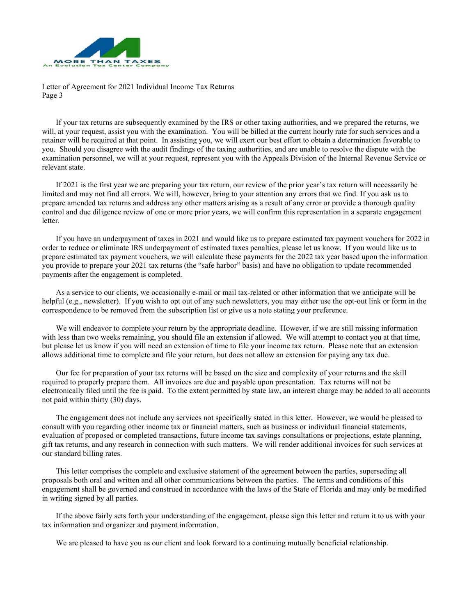

Letter of Agreement for 2021 Individual Income Tax Returns Page 3

If your tax returns are subsequently examined by the IRS or other taxing authorities, and we prepared the returns, we will, at your request, assist you with the examination. You will be billed at the current hourly rate for such services and a retainer will be required at that point. In assisting you, we will exert our best effort to obtain a determination favorable to you. Should you disagree with the audit findings of the taxing authorities, and are unable to resolve the dispute with the examination personnel, we will at your request, represent you with the Appeals Division of the Internal Revenue Service or relevant state.

If 2021 is the first year we are preparing your tax return, our review of the prior year's tax return will necessarily be limited and may not find all errors. We will, however, bring to your attention any errors that we find. If you ask us to prepare amended tax returns and address any other matters arising as a result of any error or provide a thorough quality control and due diligence review of one or more prior years, we will confirm this representation in a separate engagement letter.

If you have an underpayment of taxes in 2021 and would like us to prepare estimated tax payment vouchers for 2022 in order to reduce or eliminate IRS underpayment of estimated taxes penalties, please let us know. If you would like us to prepare estimated tax payment vouchers, we will calculate these payments for the 2022 tax year based upon the information you provide to prepare your 2021 tax returns (the "safe harbor" basis) and have no obligation to update recommended payments after the engagement is completed.

As a service to our clients, we occasionally e-mail or mail tax-related or other information that we anticipate will be helpful (e.g., newsletter). If you wish to opt out of any such newsletters, you may either use the opt-out link or form in the correspondence to be removed from the subscription list or give us a note stating your preference.

We will endeavor to complete your return by the appropriate deadline. However, if we are still missing information with less than two weeks remaining, you should file an extension if allowed. We will attempt to contact you at that time, but please let us know if you will need an extension of time to file your income tax return. Please note that an extension allows additional time to complete and file your return, but does not allow an extension for paying any tax due.

Our fee for preparation of your tax returns will be based on the size and complexity of your returns and the skill required to properly prepare them. All invoices are due and payable upon presentation. Tax returns will not be electronically filed until the fee is paid. To the extent permitted by state law, an interest charge may be added to all accounts not paid within thirty (30) days.

The engagement does not include any services not specifically stated in this letter. However, we would be pleased to consult with you regarding other income tax or financial matters, such as business or individual financial statements, evaluation of proposed or completed transactions, future income tax savings consultations or projections, estate planning, gift tax returns, and any research in connection with such matters. We will render additional invoices for such services at our standard billing rates.

This letter comprises the complete and exclusive statement of the agreement between the parties, superseding all proposals both oral and written and all other communications between the parties. The terms and conditions of this engagement shall be governed and construed in accordance with the laws of the State of Florida and may only be modified in writing signed by all parties.

If the above fairly sets forth your understanding of the engagement, please sign this letter and return it to us with your tax information and organizer and payment information.

We are pleased to have you as our client and look forward to a continuing mutually beneficial relationship.